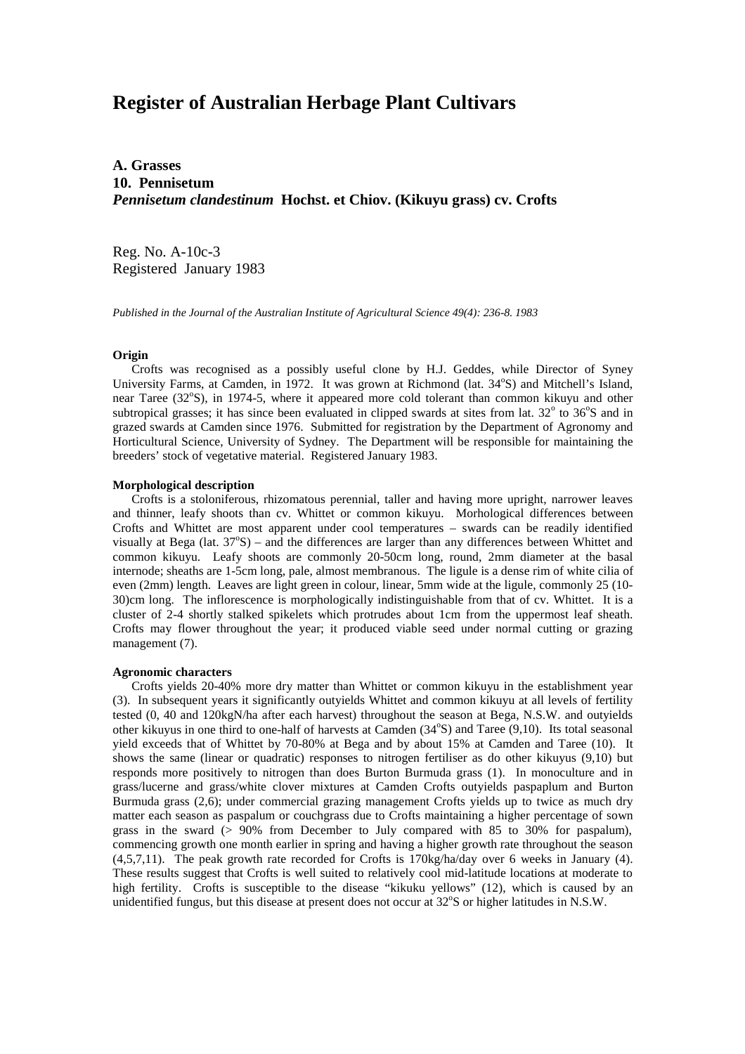# **Register of Australian Herbage Plant Cultivars**

**A. Grasses 10. Pennisetum** *Pennisetum clandestinum* **Hochst. et Chiov. (Kikuyu grass) cv. Crofts**

Reg. No. A-10c-3 Registered January 1983

*Published in the Journal of the Australian Institute of Agricultural Science 49(4): 236-8. 1983*

### **Origin**

 Crofts was recognised as a possibly useful clone by H.J. Geddes, while Director of Syney University Farms, at Camden, in 1972. It was grown at Richmond (lat. 34°S) and Mitchell's Island, near Taree (32°S), in 1974-5, where it appeared more cold tolerant than common kikuyu and other subtropical grasses; it has since been evaluated in clipped swards at sites from lat.  $32^{\circ}$  to  $36^{\circ}$ S and in grazed swards at Camden since 1976. Submitted for registration by the Department of Agronomy and Horticultural Science, University of Sydney. The Department will be responsible for maintaining the breeders' stock of vegetative material. Registered January 1983.

### **Morphological description**

 Crofts is a stoloniferous, rhizomatous perennial, taller and having more upright, narrower leaves and thinner, leafy shoots than cv. Whittet or common kikuyu. Morhological differences between Crofts and Whittet are most apparent under cool temperatures – swards can be readily identified visually at Bega (lat.  $37^{\circ}$ S) – and the differences are larger than any differences between Whittet and common kikuyu. Leafy shoots are commonly 20-50cm long, round, 2mm diameter at the basal internode; sheaths are 1-5cm long, pale, almost membranous. The ligule is a dense rim of white cilia of even (2mm) length. Leaves are light green in colour, linear, 5mm wide at the ligule, commonly 25 (10- 30)cm long. The inflorescence is morphologically indistinguishable from that of cv. Whittet. It is a cluster of 2-4 shortly stalked spikelets which protrudes about 1cm from the uppermost leaf sheath. Crofts may flower throughout the year; it produced viable seed under normal cutting or grazing management (7).

#### **Agronomic characters**

Crofts yields 20-40% more dry matter than Whittet or common kikuyu in the establishment year (3). In subsequent years it significantly outyields Whittet and common kikuyu at all levels of fertility tested (0, 40 and 120kgN/ha after each harvest) throughout the season at Bega, N.S.W. and outyields other kikuyus in one third to one-half of harvests at Camden (34°S) and Taree (9,10). Its total seasonal yield exceeds that of Whittet by 70-80% at Bega and by about 15% at Camden and Taree (10). It shows the same (linear or quadratic) responses to nitrogen fertiliser as do other kikuyus (9,10) but responds more positively to nitrogen than does Burton Burmuda grass (1). In monoculture and in grass/lucerne and grass/white clover mixtures at Camden Crofts outyields paspaplum and Burton Burmuda grass (2,6); under commercial grazing management Crofts yields up to twice as much dry matter each season as paspalum or couchgrass due to Crofts maintaining a higher percentage of sown grass in the sward (> 90% from December to July compared with 85 to 30% for paspalum), commencing growth one month earlier in spring and having a higher growth rate throughout the season (4,5,7,11). The peak growth rate recorded for Crofts is 170kg/ha/day over 6 weeks in January (4). These results suggest that Crofts is well suited to relatively cool mid-latitude locations at moderate to high fertility. Crofts is susceptible to the disease "kikuku yellows" (12), which is caused by an unidentified fungus, but this disease at present does not occur at  $32^{\circ}$ S or higher latitudes in N.S.W.